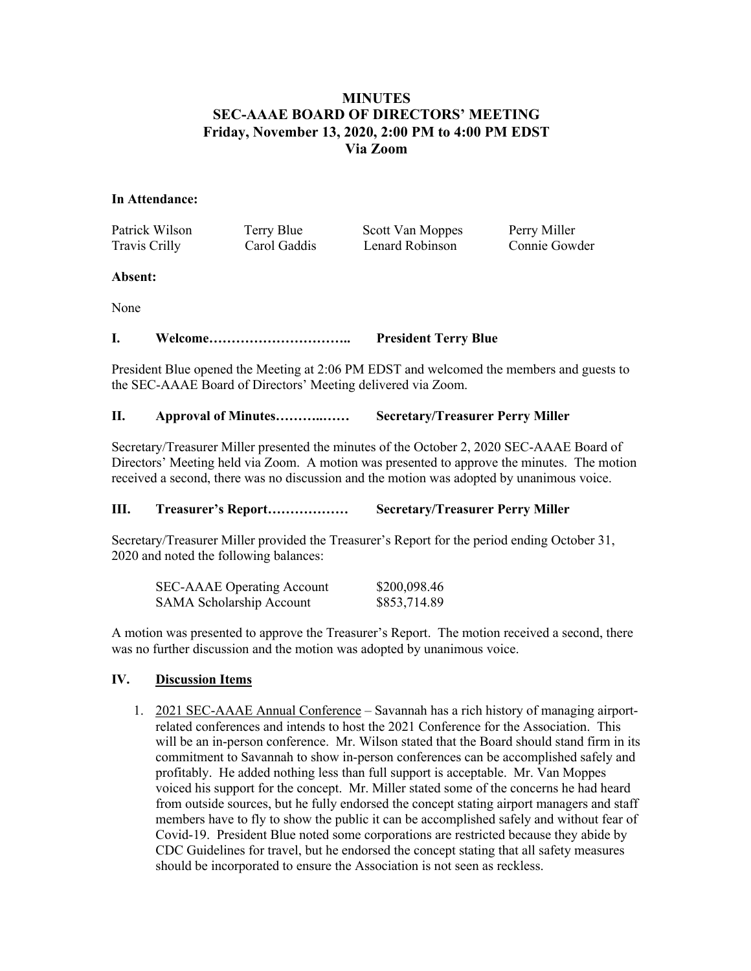# **MINUTES SEC-AAAE BOARD OF DIRECTORS' MEETING Friday, November 13, 2020, 2:00 PM to 4:00 PM EDST Via Zoom**

### **In Attendance:**

Patrick Wilson Terry Blue Scott Van Moppes Perry Miller Travis Crilly Carol Gaddis Lenard Robinson Connie Gowder

#### **Absent:**

None

**I. Welcome………………………….. President Terry Blue**

President Blue opened the Meeting at 2:06 PM EDST and welcomed the members and guests to the SEC-AAAE Board of Directors' Meeting delivered via Zoom.

# **II. Approval of Minutes………..…… Secretary/Treasurer Perry Miller**

Secretary/Treasurer Miller presented the minutes of the October 2, 2020 SEC-AAAE Board of Directors' Meeting held via Zoom. A motion was presented to approve the minutes. The motion received a second, there was no discussion and the motion was adopted by unanimous voice.

# **III. Treasurer's Report……………… Secretary/Treasurer Perry Miller**

Secretary/Treasurer Miller provided the Treasurer's Report for the period ending October 31, 2020 and noted the following balances:

| <b>SEC-AAAE</b> Operating Account | \$200,098.46 |
|-----------------------------------|--------------|
| <b>SAMA Scholarship Account</b>   | \$853,714.89 |

A motion was presented to approve the Treasurer's Report. The motion received a second, there was no further discussion and the motion was adopted by unanimous voice.

# **IV. Discussion Items**

1. 2021 SEC-AAAE Annual Conference – Savannah has a rich history of managing airportrelated conferences and intends to host the 2021 Conference for the Association. This will be an in-person conference. Mr. Wilson stated that the Board should stand firm in its commitment to Savannah to show in-person conferences can be accomplished safely and profitably. He added nothing less than full support is acceptable. Mr. Van Moppes voiced his support for the concept. Mr. Miller stated some of the concerns he had heard from outside sources, but he fully endorsed the concept stating airport managers and staff members have to fly to show the public it can be accomplished safely and without fear of Covid-19. President Blue noted some corporations are restricted because they abide by CDC Guidelines for travel, but he endorsed the concept stating that all safety measures should be incorporated to ensure the Association is not seen as reckless.